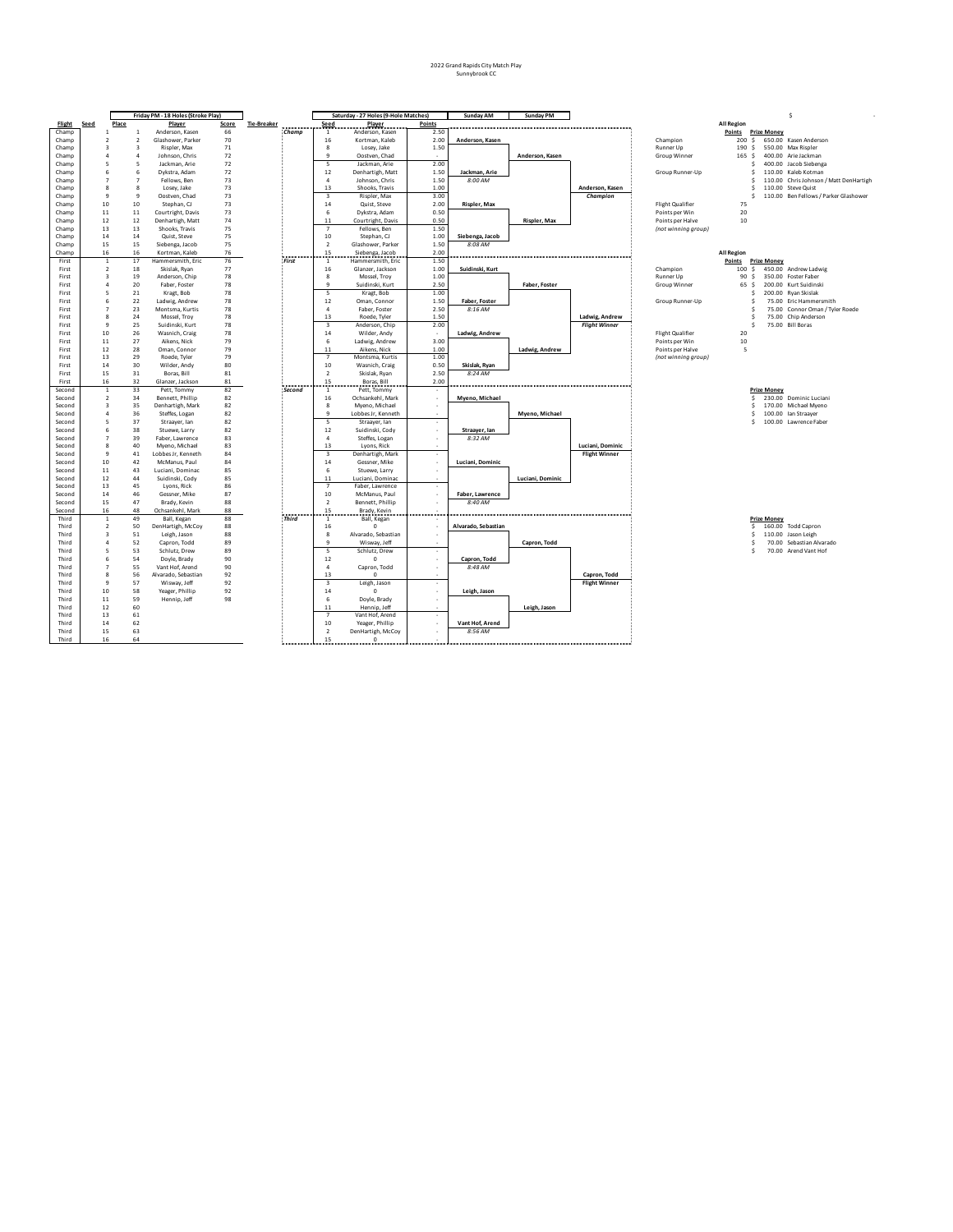|                |                                           |       | Friday PM - 18 Holes (Stroke Play)            |          |                              |                         | Saturday - 27 Holes (9-Hole Matches) |                          | Sunday AM           | <b>Sunday PM</b> |                                      |                         |                   |                    | s                                      |
|----------------|-------------------------------------------|-------|-----------------------------------------------|----------|------------------------------|-------------------------|--------------------------------------|--------------------------|---------------------|------------------|--------------------------------------|-------------------------|-------------------|--------------------|----------------------------------------|
| Flight         | Seed                                      | Place | Player                                        | Score    | <b>Tie-Breaker</b><br>------ | Seed                    | <b>Player</b>                        | Points                   |                     |                  |                                      |                         | <b>All Region</b> |                    |                                        |
| Champ          | $\overline{1}$                            |       | $\mathbf{1}$<br>Anderson, Kasen               | 66       | <b>Champ</b>                 | 1                       | Anderson, Kasen                      | 2.50                     |                     |                  |                                      |                         | Points            | <b>Prize Money</b> |                                        |
| Champ          | $\overline{2}$                            |       | $\overline{\phantom{a}}$<br>Glashower, Parker | 70       |                              | 16                      | Kortman, Kaleb                       | 2.00                     | Anderson, Kasen     |                  |                                      | Champion                | 200 S             |                    | 650.00 Kasen Anderson                  |
| Champ          | $\overline{\mathbf{3}}$                   |       | $\overline{\mathbf{3}}$<br>Rispler, Max       | 71       |                              | 8                       | Losey, Jake                          | 1.50                     |                     |                  |                                      | <b>Runner Up</b>        | 190<br>s          |                    | 550.00 Max Rispler                     |
| Champ          | 4                                         |       | 4<br>Johnson, Chris                           | 72       |                              | $\mathbf{q}$            | Oostven, Chad                        |                          |                     | Anderson, Kasen  |                                      | Group Winner            | 165 <sub>5</sub>  |                    | 400.00 Arie Jackman                    |
| Champ          | 5                                         |       | 5<br>Jackman, Arie                            | 72       |                              | 5                       | Jackman, Arie                        | 2.00                     |                     |                  |                                      |                         | Ś                 |                    | 400.00 Jacob Siebenga                  |
| Champ          | 6                                         |       | 6<br>Dykstra, Adam                            | 72       |                              | $12\,$                  | Denhartigh, Matt                     | 1.50                     | Jackman, Arie       |                  |                                      | Group Runner-Up         | \$                |                    | 110.00 Kaleb Kotman                    |
| Champ          | 7                                         |       | $\overline{7}$<br>Fellows, Ben                | 73       |                              | $\overline{4}$          | Johnson, Chris                       | 1.50                     | 8:00 AM             |                  |                                      |                         | Ś                 |                    | 110.00 Chris Johnson / Matt DenHartigh |
| Champ          | 8                                         |       | $\mathbf{\mathsf{R}}$<br>Losey, Jake          | 73       |                              | 13                      | Shooks, Travis                       | 1.00                     |                     |                  | Anderson, Kasen                      |                         | Ś                 |                    | 110.00 Steve Quist                     |
| Champ          | 9                                         |       | 9<br>Oostven, Chad                            | 73       |                              | $\overline{\mathbf{3}}$ | Rispler, Max                         | 3.00                     |                     |                  | Champion                             |                         | s                 |                    | 110.00 Ben Fellows / Parker Glashower  |
| Champ          | 10                                        |       | 10<br>Stephan, CJ                             | 73       |                              | 14                      | Quist, Steve                         | 2.00                     | Rispler, Max        |                  |                                      | <b>Flight Qualifier</b> | 75                |                    |                                        |
| Champ          | $11\,$                                    |       | $11\,$<br>Courtright, Davis                   | 73       |                              | 6                       | Dykstra, Adam                        | 0.50                     |                     |                  |                                      | Points per Win          | 20                |                    |                                        |
| Champ          | 12                                        |       | 12<br>Denhartigh, Matt                        | 74       |                              | 11                      | Courtright, Davis                    | 0.50                     |                     | Rispler, Max     |                                      | Points per Halve        | 10                |                    |                                        |
| Champ          | 13                                        |       | 13<br>Shooks, Travis                          | 75       |                              | $\overline{7}$          | Fellows, Ben                         | 1.50                     |                     |                  |                                      | (not winning group)     |                   |                    |                                        |
| Champ          | 14                                        |       | 14<br>Quist, Steve                            | 75       |                              | 10                      | Stephan, CJ                          | 1.00                     | Siebenga, Jacob     |                  |                                      |                         |                   |                    |                                        |
| Champ          | 15                                        |       | 15<br>Siebenga, Jacob                         | 75       |                              | $\overline{2}$          | Glashower, Parker                    | 1.50                     | 8:08 AM             |                  |                                      |                         |                   |                    |                                        |
| Champ          | 16                                        |       | 16<br>Kortman, Kaleb                          | 76       |                              | 15                      | Siebenga, Jacob                      | 2.00                     |                     |                  |                                      |                         | <b>All Region</b> |                    |                                        |
| First          | $\overline{1}$                            |       | 17<br>Hammersmith, Eric                       | 76       | First                        | $\overline{1}$          | Hammersmith, Eric                    | 1.50                     |                     |                  |                                      |                         | Points            | <b>Prize Money</b> |                                        |
| First          | $\overline{2}$                            |       | 18<br>Skislak, Ryan                           | 77       |                              | 16                      | Glanzer, Jackson                     | 1.00                     | Suidinski, Kurt     |                  |                                      | Champion                | 100S              |                    | 450.00 Andrew Ladwig                   |
| First          | $\overline{\mathbf{3}}$                   |       | 19<br>Anderson, Chip                          | 78       |                              | 8                       | Mossel. Trov                         | 1.00                     |                     |                  |                                      | <b>Runner Up</b>        | 90S               |                    | 350.00 Foster Faber                    |
| First          | $\overline{a}$                            |       | 20<br>Faber, Foster                           | 78       |                              | $\mathbf{q}$            | Suidinski, Kurt                      | 2.50                     |                     | Faber, Foster    |                                      | Group Winner            | 65 S              |                    | 200.00 Kurt Suidinski                  |
| First          | 5                                         |       | 21<br>Kragt, Bob                              | 78       |                              | 5                       | Kragt, Bob                           | 1.00                     |                     |                  |                                      |                         | S                 |                    | 200.00 Ryan Skislak                    |
| First          | 6                                         |       | 22<br>Ladwig, Andrew                          | 78       |                              | 12                      | Oman, Connor                         | 1.50                     | Faber, Foster       |                  |                                      | Group Runner-Up         | Ś                 |                    | 75.00 Eric Hammersmith                 |
| First          | $\overline{7}$                            |       | 23<br>Montsma, Kurtis                         | 78       |                              | $\overline{4}$          | Faber, Foster                        | 2.50                     | 8:16 AM             |                  |                                      |                         | s                 |                    | 75.00 Connor Oman / Tyler Roede        |
| First          | 8                                         |       | 24<br>Mossel, Troy                            | 78       |                              | 13                      | Roede, Tyler                         | 1.50                     |                     |                  | Ladwig, Andrew                       |                         | s                 |                    | 75.00 Chip Anderson                    |
| First          | $\mathbf{q}$                              |       | 25<br>Suidinski, Kurt                         | 78       |                              | $\overline{3}$          | Anderson, Chip                       | 2.00                     |                     |                  | <b>Flight Winner</b>                 |                         | S                 |                    | 75.00 Bill Boras                       |
| First          | 10                                        |       | 26<br>Wasnich, Craig                          | 78       |                              | 14                      | Wilder, Andy                         | $\sim$                   | Ladwig, Andrew      |                  |                                      | Flight Qualifier        | 20                |                    |                                        |
| First          | 11                                        |       | 27<br>Aikens, Nick                            | 79       |                              | 6                       | Ladwig, Andrew                       | 3.00                     |                     |                  |                                      | Points per Win          | 10                |                    |                                        |
| First          | 12                                        |       | 28<br>Oman, Connor                            | 79       |                              | 11                      | Aikens, Nick                         | 1.00                     |                     | Ladwig, Andrew   |                                      | Points per Halve        | 5                 |                    |                                        |
| First          | 13                                        |       | 29<br>Roede, Tyler                            | 79       |                              | $\overline{7}$          | Montsma, Kurtis                      | 1.00                     |                     |                  |                                      | (not winning group)     |                   |                    |                                        |
| First          | 14                                        |       | 30<br>Wilder, Andy                            | 80       |                              | 10                      | Wasnich, Craig                       | 0.50                     | Skislak, Ryan       |                  |                                      |                         |                   |                    |                                        |
| First          | 15                                        |       | 31<br>Boras, Bill                             | 81       |                              | $\overline{2}$          | Skislak, Rvan                        | 2.50                     | 8:24 AM             |                  |                                      |                         |                   |                    |                                        |
| First          | 16                                        |       | 32<br>Glanzer, Jackson                        | 81       |                              | 15                      | Boras, Bill                          | 2.00                     |                     |                  |                                      |                         |                   |                    |                                        |
| Second         | $\overline{1}$                            |       | 33<br>Pett, Tommy                             | 82       | Second                       | -1                      | Pett, Tommy                          |                          |                     |                  |                                      |                         |                   | <b>Prize Money</b> |                                        |
| Second         | $\overline{2}$                            |       | 34<br>Bennett, Phillip                        | 82       |                              | 16                      | Ochsankehl, Mark                     |                          | Myeno, Michael      |                  |                                      |                         | s                 |                    | 230.00 Dominic Luciani                 |
| Second         | $\overline{3}$                            |       | 35<br>Denhartigh, Mark                        | 82       |                              | 8                       | Myeno, Michael                       | ×.                       |                     |                  |                                      |                         | Ś                 |                    | 170.00 Michael Myeno                   |
| Second         | $\overline{a}$                            |       | 36<br>Steffes, Logan                          | 82       |                              | $\mathbf{q}$            | Lobbes Jr, Kenneth                   | $\sim$                   |                     | Myeno, Michael   |                                      |                         | s                 |                    | 100.00 Ian Straayer                    |
| Second         | 5                                         | 37    | Straayer, lan                                 | 82       |                              | 5                       | Straayer, Ian                        |                          |                     |                  |                                      |                         | \$                |                    | 100.00 Lawrence Faber                  |
| Second         | 6                                         | 38    | Stuewe, Larry                                 | 82       |                              | 12                      | Suidinski, Cody                      |                          | Straayer, lan       |                  |                                      |                         |                   |                    |                                        |
| Second         | $\overline{7}$                            |       | 39<br>Faber, Lawrence                         | 83       |                              | $\mathbf{A}$            | Steffes, Logan                       |                          | 8:32 AM             |                  |                                      |                         |                   |                    |                                        |
| Second         | $\mathbf{R}$                              |       | 40<br>Myeno, Michael                          | 83       |                              | 13                      | Lyons, Rick                          |                          |                     |                  | Luciani, Dominic                     |                         |                   |                    |                                        |
| Second         | 9                                         |       | 41<br>Lobbes Jr, Kenneth                      | 84       |                              | $\overline{3}$          | Denhartigh, Mark                     |                          |                     |                  | <b>Flight Winner</b>                 |                         |                   |                    |                                        |
| Second         | 10                                        |       | 42<br>McManus, Paul                           | 84       |                              | 14                      | Gessner, Mike                        |                          | Luciani, Dominic    |                  |                                      |                         |                   |                    |                                        |
| Second         | 11                                        |       | 43<br>Luciani, Dominac                        | 85       |                              | 6                       | Stuewe, Larry                        |                          |                     |                  |                                      |                         |                   |                    |                                        |
| Second         | 12                                        |       | 44<br>Suidinski, Cody                         | 85       |                              | 11                      | Luciani, Dominac                     |                          |                     | Luciani, Dominic |                                      |                         |                   |                    |                                        |
| Second         | 13                                        |       | 45<br>Lyons, Rick                             | 86       |                              | $\overline{7}$          | Faber, Lawrence                      |                          |                     |                  |                                      |                         |                   |                    |                                        |
| Second         | 14                                        |       | 46<br>Gessner, Mike                           | 87       |                              | 10                      | McManus, Paul                        |                          | Faber, Lawrence     |                  |                                      |                         |                   |                    |                                        |
| Second         | 15                                        |       | 47<br>Brady, Kevin                            | 88       |                              | $\overline{2}$          | Bennett, Phillip                     |                          | 8:40 AM             |                  |                                      |                         |                   |                    |                                        |
| Second         | 16                                        |       | 48<br>Ochsankehl, Mark                        | 88       |                              | 15                      | Brady, Kevin                         |                          |                     |                  |                                      |                         |                   |                    |                                        |
| Third          | $\overline{1}$                            |       | 49<br>Ball, Kegan                             | 88       | Third                        | $\mathbf{1}$            | Ball, Kegan                          |                          |                     |                  |                                      |                         |                   | <b>Prize Money</b> |                                        |
| Third          | $\overline{2}$                            |       | 50<br>DenHartigh, McCoy                       | 88       |                              | 16                      | $\Omega$                             |                          | Alvarado, Sebastian |                  |                                      |                         | s                 |                    | 160.00 Todd Capron                     |
| Third          | $\overline{\mathbf{3}}$<br>$\overline{a}$ | 51    | Leigh, Jason                                  | 88       |                              | 8<br>q                  | Alvarado, Sebastian                  |                          |                     |                  |                                      |                         | Ś                 |                    | 110.00 Jason Leigh                     |
| Third          | 5                                         | 52    | Capron, Todd                                  | 89       |                              | 5                       | Wisway, Jeff                         | $\sim$                   |                     | Capron, Todd     |                                      |                         | Ś<br>\$           |                    | 70.00 Sebastian Alvarado               |
| Third          |                                           |       | 53<br>Schlutz, Drew                           | 89       |                              |                         | Schlutz, Drew                        |                          |                     |                  |                                      |                         |                   |                    | 70.00 Arend Vant Hof                   |
| Third          | 6                                         |       | 54<br>Doyle, Brady                            | 90       |                              | 12                      | $\mathbf 0$                          |                          | Capron, Todd        |                  |                                      |                         |                   |                    |                                        |
| Third          | $\overline{7}$<br>$\mathbf{R}$            |       | 55<br>Vant Hof, Arend                         | 90       |                              | $\overline{4}$          | Capron, Todd                         |                          | 8:48 AM             |                  |                                      |                         |                   |                    |                                        |
| Third<br>Third | $\overline{9}$                            | 57    | 56<br>Alvarado, Sebastian                     | 92<br>92 |                              | 13                      | $\Omega$                             |                          |                     |                  | Capron, Todd<br><b>Flight Winner</b> |                         |                   |                    |                                        |
| Third          | 10                                        |       | Wisway, Jeff<br>58                            | 92       |                              | $\overline{\mathbf{3}}$ | Leigh, Jason                         | $\sim$                   |                     |                  |                                      |                         |                   |                    |                                        |
|                |                                           |       | Yeager, Phillip                               |          |                              | 14                      | $^{\circ}$                           |                          | Leigh, Jason        |                  |                                      |                         |                   |                    |                                        |
| Third          | 11                                        |       | 59<br>Hennip, Jeff                            | 98       |                              | 6                       | Doyle, Brady                         |                          |                     |                  |                                      |                         |                   |                    |                                        |
| Third          | 12<br>13                                  |       | 60<br>61                                      |          |                              | $11\,$                  | Hennip, Jeff                         |                          |                     | Leigh, Jason     |                                      |                         |                   |                    |                                        |
| Third          |                                           |       |                                               |          |                              | $\overline{7}$          | Vant Hof, Arend                      | $\overline{\phantom{a}}$ |                     |                  |                                      |                         |                   |                    |                                        |
| Third<br>Third | 14                                        |       | 62                                            |          |                              | 10                      | Yeager, Phillip                      |                          | Vant Hof, Arend     |                  |                                      |                         |                   |                    |                                        |
| Third          | 15<br>16                                  |       | 63<br>64                                      |          |                              | $\overline{2}$<br>15    | DenHartigh, McCoy<br>$\Omega$        |                          | 8:56 AM             |                  |                                      |                         |                   |                    |                                        |
|                |                                           |       |                                               |          |                              |                         |                                      |                          |                     |                  |                                      |                         |                   |                    |                                        |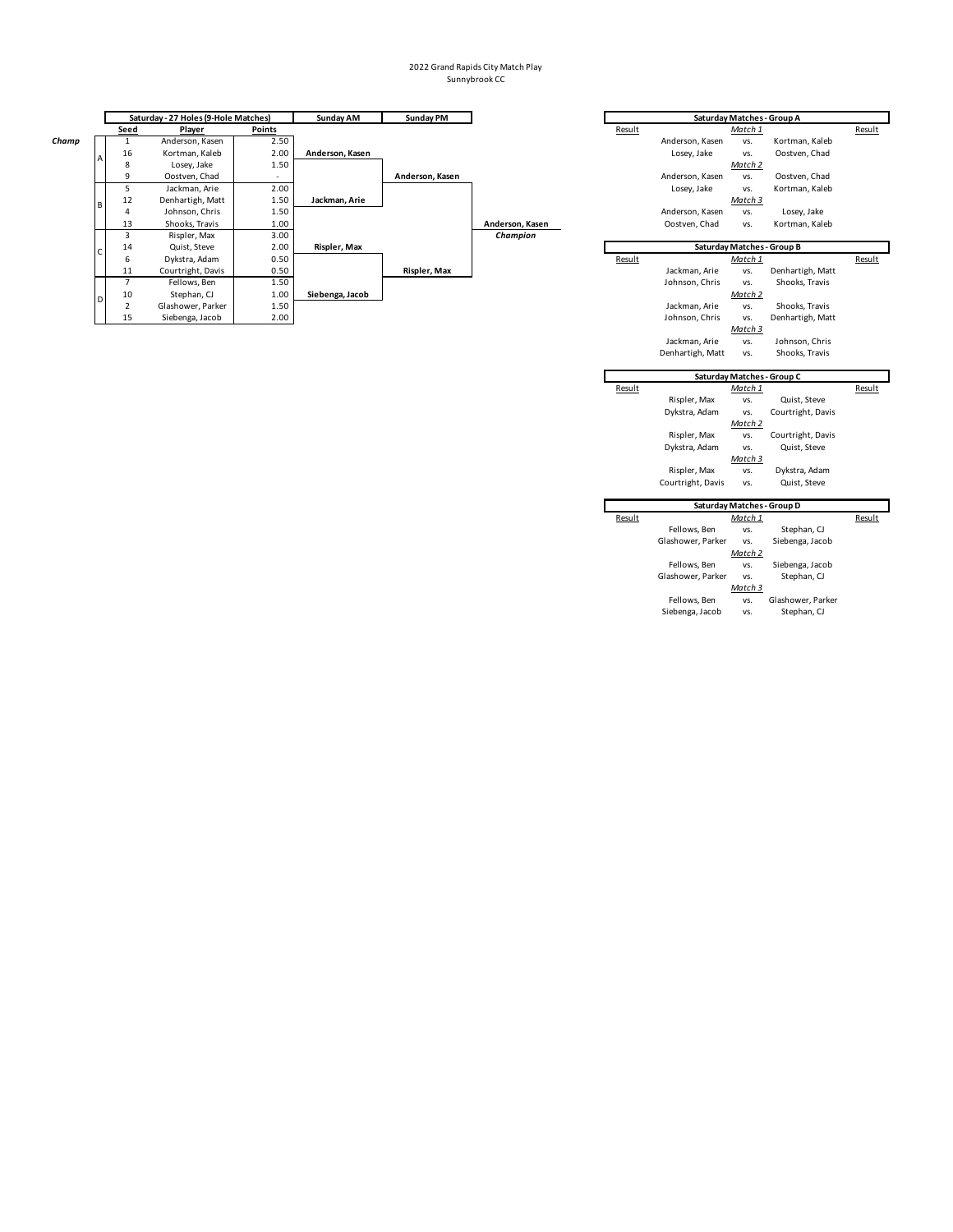|       |   |                | Saturday - 27 Holes (9-Hole Matches) |               | Sunday AM       | Sunday PM       |                 |        |                 | Saturday Matches - Group A |                            |        |
|-------|---|----------------|--------------------------------------|---------------|-----------------|-----------------|-----------------|--------|-----------------|----------------------------|----------------------------|--------|
|       |   | <b>Seed</b>    | Player                               | <b>Points</b> |                 |                 |                 | Result |                 | Match 1                    |                            | Result |
| Champ |   |                | Anderson, Kasen                      | 2.50          |                 |                 |                 |        | Anderson, Kasen | VS.                        | Kortman, Kaleb             |        |
|       |   | 16             | Kortman, Kaleb                       | 2.00          | Anderson, Kasen |                 |                 |        | Losey, Jake     | VS.                        | Oostven, Chad              |        |
|       |   | 8              | Losey, Jake                          | 1.50          |                 |                 |                 |        | Match 2         |                            |                            |        |
|       |   | ٩              | Oostven, Chad                        |               |                 | Anderson, Kasen |                 |        | Anderson, Kasen | VS.                        | Oostven, Chad              |        |
|       |   | 5              | Jackman, Arie                        | 2.00          |                 |                 |                 |        | Losey, Jake     | VS.                        | Kortman, Kaleb             |        |
|       | B | 12             | Denhartigh, Matt                     | 1.50          | Jackman, Arie   |                 |                 |        |                 | Match 3                    |                            |        |
|       |   | 4              | Johnson, Chris                       | 1.50          |                 |                 |                 |        | Anderson, Kasen | VS.                        | Losey, Jake                |        |
|       |   | 13             | Shooks, Travis                       | 1.00          |                 |                 | Anderson, Kasen |        | Oostven, Chad   | VS.                        | Kortman, Kaleb             |        |
|       |   | 3              | Rispler, Max                         | 3.00          |                 |                 | Champion        |        |                 |                            |                            |        |
|       |   | 14             | Quist, Steve                         | 2.00          | Rispler, Max    |                 |                 |        |                 |                            | Saturday Matches - Group B |        |
|       |   | 6              | Dykstra, Adam                        | 0.50          |                 |                 |                 | Result |                 | Match 1                    |                            | Result |
|       |   | 11             | Courtright, Davis                    | 0.50          |                 | Rispler, Max    |                 |        | Jackman, Arie   | VS.                        | Denhartigh, Matt           |        |
|       |   |                | Fellows, Ben                         | 1.50          |                 |                 |                 |        | Johnson, Chris  | VS.                        | Shooks, Travis             |        |
|       | D | 10             | Stephan, CJ                          | 1.00          | Siebenga, Jacob |                 |                 |        |                 | Match 2                    |                            |        |
|       |   | $\overline{2}$ | Glashower, Parker                    | 1.50          |                 |                 |                 |        | Jackman, Arie   | VS.                        | Shooks, Travis             |        |
|       |   | 15             | Siebenga, Jacob                      | 2.00          |                 |                 |                 |        | Johnson, Chris  | VS.                        | Denhartigh, Matt           |        |

| <b>Saturday Matches - Group A</b><br>Result<br>Match 1<br>Result<br>Anderson, Kasen<br>Kortman, Kaleb<br>VS.<br>Oostven, Chad<br>Losey, Jake<br>VS.<br>Match 2<br>Anderson, Kasen<br>Oostven, Chad<br>VS.<br>Kortman, Kaleb<br>Losey, Jake<br>VS.<br>Match 3<br>Losey, Jake<br>Anderson, Kasen<br>VS.<br>Oostven, Chad<br>Kortman, Kaleb<br>VS.<br>Saturday Matches - Group B<br>Result<br>Match 1<br>Result<br>Jackman, Arie<br>Denhartigh, Matt<br>VS.<br>Johnson, Chris<br>Shooks, Travis<br>VS.<br>Match 2<br>Jackman, Arie<br>Shooks, Travis<br>VS.<br>Johnson, Chris<br>Denhartigh, Matt<br>VS.<br>Match 3<br>Jackman, Arie<br>Johnson, Chris<br>VS.<br>Denhartigh, Matt<br>Shooks, Travis<br>VS.<br>Saturday Matches - Group C |
|---------------------------------------------------------------------------------------------------------------------------------------------------------------------------------------------------------------------------------------------------------------------------------------------------------------------------------------------------------------------------------------------------------------------------------------------------------------------------------------------------------------------------------------------------------------------------------------------------------------------------------------------------------------------------------------------------------------------------------------|
|                                                                                                                                                                                                                                                                                                                                                                                                                                                                                                                                                                                                                                                                                                                                       |
|                                                                                                                                                                                                                                                                                                                                                                                                                                                                                                                                                                                                                                                                                                                                       |
|                                                                                                                                                                                                                                                                                                                                                                                                                                                                                                                                                                                                                                                                                                                                       |
|                                                                                                                                                                                                                                                                                                                                                                                                                                                                                                                                                                                                                                                                                                                                       |
|                                                                                                                                                                                                                                                                                                                                                                                                                                                                                                                                                                                                                                                                                                                                       |
|                                                                                                                                                                                                                                                                                                                                                                                                                                                                                                                                                                                                                                                                                                                                       |
|                                                                                                                                                                                                                                                                                                                                                                                                                                                                                                                                                                                                                                                                                                                                       |
|                                                                                                                                                                                                                                                                                                                                                                                                                                                                                                                                                                                                                                                                                                                                       |
|                                                                                                                                                                                                                                                                                                                                                                                                                                                                                                                                                                                                                                                                                                                                       |
|                                                                                                                                                                                                                                                                                                                                                                                                                                                                                                                                                                                                                                                                                                                                       |
|                                                                                                                                                                                                                                                                                                                                                                                                                                                                                                                                                                                                                                                                                                                                       |
|                                                                                                                                                                                                                                                                                                                                                                                                                                                                                                                                                                                                                                                                                                                                       |
|                                                                                                                                                                                                                                                                                                                                                                                                                                                                                                                                                                                                                                                                                                                                       |
|                                                                                                                                                                                                                                                                                                                                                                                                                                                                                                                                                                                                                                                                                                                                       |
|                                                                                                                                                                                                                                                                                                                                                                                                                                                                                                                                                                                                                                                                                                                                       |
|                                                                                                                                                                                                                                                                                                                                                                                                                                                                                                                                                                                                                                                                                                                                       |
|                                                                                                                                                                                                                                                                                                                                                                                                                                                                                                                                                                                                                                                                                                                                       |
|                                                                                                                                                                                                                                                                                                                                                                                                                                                                                                                                                                                                                                                                                                                                       |
|                                                                                                                                                                                                                                                                                                                                                                                                                                                                                                                                                                                                                                                                                                                                       |
|                                                                                                                                                                                                                                                                                                                                                                                                                                                                                                                                                                                                                                                                                                                                       |
|                                                                                                                                                                                                                                                                                                                                                                                                                                                                                                                                                                                                                                                                                                                                       |
| Result<br>Result<br>Match 1                                                                                                                                                                                                                                                                                                                                                                                                                                                                                                                                                                                                                                                                                                           |
| Rispler, Max<br>Quist, Steve<br>vs.                                                                                                                                                                                                                                                                                                                                                                                                                                                                                                                                                                                                                                                                                                   |
| Dykstra, Adam<br>Courtright, Davis<br>VS.                                                                                                                                                                                                                                                                                                                                                                                                                                                                                                                                                                                                                                                                                             |
| Match 2                                                                                                                                                                                                                                                                                                                                                                                                                                                                                                                                                                                                                                                                                                                               |
|                                                                                                                                                                                                                                                                                                                                                                                                                                                                                                                                                                                                                                                                                                                                       |
| Rispler, Max<br>Courtright, Davis<br>VS.                                                                                                                                                                                                                                                                                                                                                                                                                                                                                                                                                                                                                                                                                              |
| Dykstra, Adam<br>Quist, Steve<br>VS.                                                                                                                                                                                                                                                                                                                                                                                                                                                                                                                                                                                                                                                                                                  |
| Match 3                                                                                                                                                                                                                                                                                                                                                                                                                                                                                                                                                                                                                                                                                                                               |
| Rispler, Max<br>VS.<br>Dykstra, Adam                                                                                                                                                                                                                                                                                                                                                                                                                                                                                                                                                                                                                                                                                                  |
| Courtright, Davis<br>Quist, Steve<br>VS.                                                                                                                                                                                                                                                                                                                                                                                                                                                                                                                                                                                                                                                                                              |
|                                                                                                                                                                                                                                                                                                                                                                                                                                                                                                                                                                                                                                                                                                                                       |
| Saturday Matches - Group D                                                                                                                                                                                                                                                                                                                                                                                                                                                                                                                                                                                                                                                                                                            |
| Result<br>Result<br><u>Match 1</u>                                                                                                                                                                                                                                                                                                                                                                                                                                                                                                                                                                                                                                                                                                    |
| Fellows, Ben<br>Stephan, CJ<br>VS.                                                                                                                                                                                                                                                                                                                                                                                                                                                                                                                                                                                                                                                                                                    |
| Glashower, Parker<br>Siebenga, Jacob<br>VS.                                                                                                                                                                                                                                                                                                                                                                                                                                                                                                                                                                                                                                                                                           |
| Match 2                                                                                                                                                                                                                                                                                                                                                                                                                                                                                                                                                                                                                                                                                                                               |
| Fellows, Ben<br>Siebenga, Jacob<br>VS.                                                                                                                                                                                                                                                                                                                                                                                                                                                                                                                                                                                                                                                                                                |
| Glashower, Parker<br>Stephan, CJ<br>VS.                                                                                                                                                                                                                                                                                                                                                                                                                                                                                                                                                                                                                                                                                               |
| Match 3<br>Fellows, Ben<br>Glashower, Parker<br>VS.                                                                                                                                                                                                                                                                                                                                                                                                                                                                                                                                                                                                                                                                                   |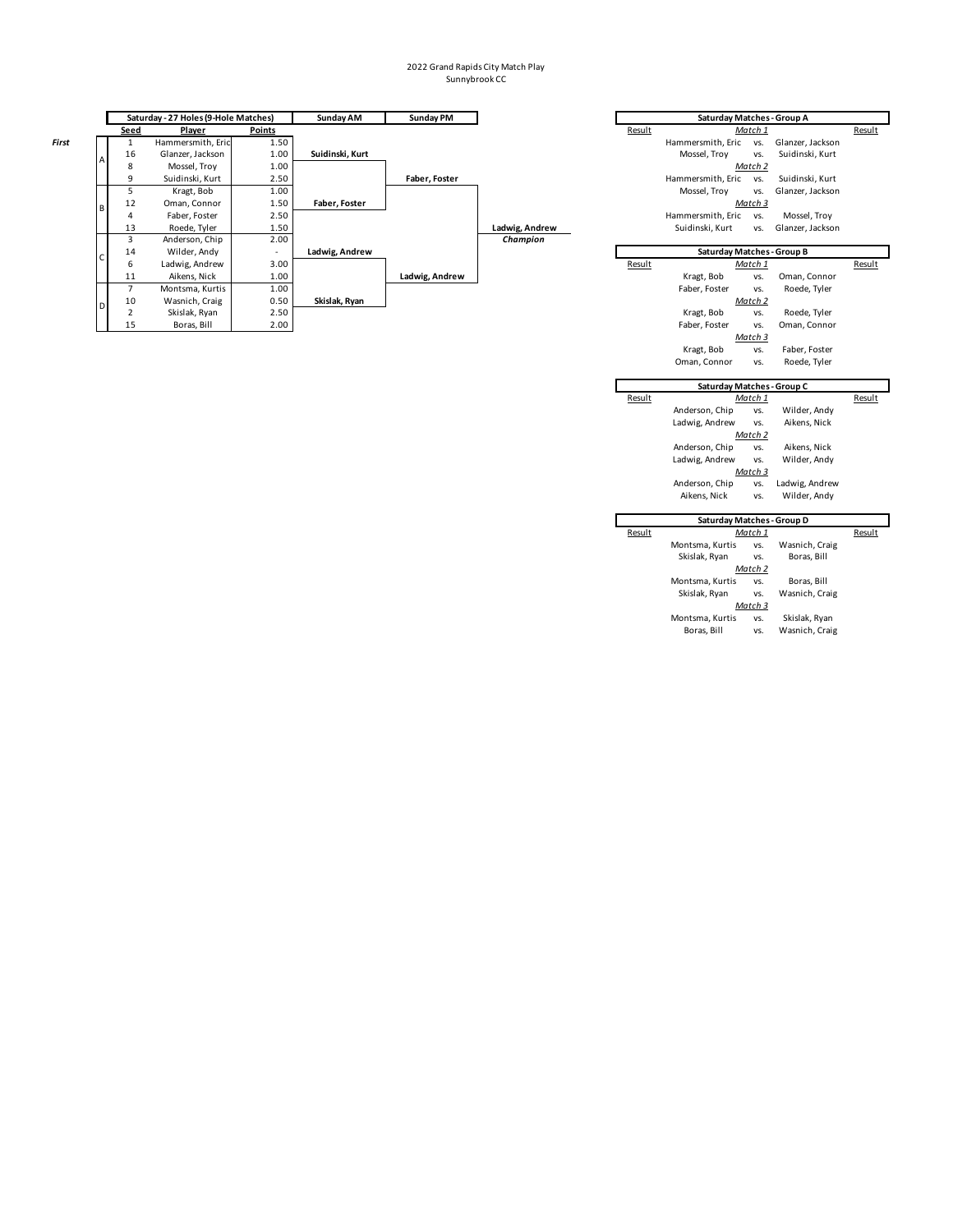|       | Saturday - 27 Holes (9-Hole Matches) |      | Sunday AM         | <b>Sunday PM</b> |                 | Saturday Matches - Group A |                |        |                            |         |                  |        |
|-------|--------------------------------------|------|-------------------|------------------|-----------------|----------------------------|----------------|--------|----------------------------|---------|------------------|--------|
|       |                                      | Seed | Player            | Points           |                 |                            |                | Result |                            | Match 1 |                  | Result |
| First |                                      |      | Hammersmith, Eric | 1.50             |                 |                            |                |        | Hammersmith, Eric          | VS.     | Glanzer, Jackson |        |
|       | $\overline{A}$                       | 16   | Glanzer, Jackson  | 1.00             | Suidinski, Kurt |                            |                |        | Mossel, Troy               | VS.     | Suidinski, Kurt  |        |
|       |                                      | 8    | Mossel, Troy      | 1.00             |                 |                            |                |        |                            | Match 2 |                  |        |
|       |                                      |      | Suidinski, Kurt   | 2.50             |                 | Faber. Foster              |                |        | Hammersmith, Eric          | VS.     | Suidinski, Kurt  |        |
|       |                                      |      | Kragt, Bob        | 1.00             |                 |                            |                |        | Mossel, Troy               | VS.     | Glanzer, Jackson |        |
|       | B                                    | 12   | Oman, Connor      | 1.50             | Faber. Foster   |                            |                |        |                            | Match 3 |                  |        |
|       |                                      |      | Faber, Foster     | 2.50             |                 |                            |                |        | Hammersmith, Eric          | VS.     | Mossel, Troy     |        |
|       |                                      | 13   | Roede, Tyler      | 1.50             |                 |                            | Ladwig, Andrew |        | Suidinski, Kurt            | VS.     | Glanzer, Jackson |        |
|       |                                      |      | Anderson, Chip    | 2.00             |                 |                            | Champion       |        |                            |         |                  |        |
|       |                                      | 14   | Wilder, Andy      | ٠                | Ladwig, Andrew  |                            |                |        | Saturday Matches - Group B |         |                  |        |
|       |                                      | 6    | Ladwig, Andrew    | 3.00             |                 |                            |                | Result |                            | Match 1 |                  | Result |
|       |                                      | 11   | Aikens, Nick      | 1.00             |                 | Ladwig, Andrew             |                |        | Kragt, Bob                 | VS.     | Oman, Connor     |        |
|       |                                      |      | Montsma, Kurtis   | 1.00             |                 |                            |                |        | Faber, Foster              | VS.     | Roede, Tyler     |        |
|       | D                                    | 10   | Wasnich, Craig    | 0.50             | Skislak, Ryan   |                            |                |        |                            | Match 2 |                  |        |
|       |                                      |      | Skislak, Ryan     | 2.50             |                 |                            |                |        | Kragt, Bob                 | VS.     | Roede, Tyler     |        |
|       |                                      | 15   | Boras, Bill       | 2.00             |                 |                            |                |        | Faber, Foster              | VS.     | Oman, Connor     |        |

|        | Saturday Matches - Group A |                |                  |        |
|--------|----------------------------|----------------|------------------|--------|
| Result |                            | Match 1        |                  | Result |
|        | Hammersmith, Eric          | VS.            | Glanzer, Jackson |        |
|        | Mossel, Troy               | VS.            | Suidinski, Kurt  |        |
|        |                            | Match 2        |                  |        |
|        | Hammersmith, Eric          | VS.            | Suidinski, Kurt  |        |
|        | Mossel, Troy               | VS.            | Glanzer, Jackson |        |
|        |                            | Match 3        |                  |        |
|        | Hammersmith, Eric          | VS.            | Mossel, Troy     |        |
|        | Suidinski, Kurt            | VS.            | Glanzer, Jackson |        |
|        |                            |                |                  |        |
|        | Saturday Matches - Group B |                |                  |        |
| Result |                            | Match 1        |                  | Result |
|        | Kragt, Bob                 | VS.            | Oman, Connor     |        |
|        | Faber, Foster              | VS.            | Roede, Tyler     |        |
|        |                            | Match 2        |                  |        |
|        | Kragt, Bob                 | VS.            | Roede, Tyler     |        |
|        | Faber, Foster              | VS.            | Oman, Connor     |        |
|        |                            | <u>Match 3</u> |                  |        |
|        | Kragt, Bob                 | VS.            | Faber, Foster    |        |
|        | Oman, Connor               | VS.            | Roede, Tyler     |        |
|        |                            |                |                  |        |
|        |                            |                |                  |        |
|        | Saturday Matches - Group C |                |                  |        |
| Result |                            | Match 1        |                  | Result |
|        | Anderson, Chip             | VS.            | Wilder, Andy     |        |
|        | Ladwig, Andrew             | VS.            | Aikens, Nick     |        |
|        |                            | Match 2        |                  |        |
|        | Anderson, Chip             | VS.            | Aikens, Nick     |        |
|        | Ladwig, Andrew             | VS.            | Wilder, Andy     |        |
|        |                            | Match 3        |                  |        |
|        | Anderson, Chip             | VS.            | Ladwig, Andrew   |        |
|        | Aikens, Nick               | VS.            | Wilder, Andy     |        |
|        |                            |                |                  |        |
| Result | Saturday Matches - Group D | Match 1        |                  | Result |
|        | Montsma, Kurtis            | VS.            | Wasnich, Craig   |        |
|        | Skislak, Ryan              | VS.            | Boras, Bill      |        |
|        |                            | Match 2        |                  |        |
|        | Montsma, Kurtis            | VS.            | Boras, Bill      |        |
|        | Skislak, Ryan              | VS.            | Wasnich, Craig   |        |
|        |                            | Match 3        |                  |        |
|        | Montsma, Kurtis            | VS.            | Skislak, Ryan    |        |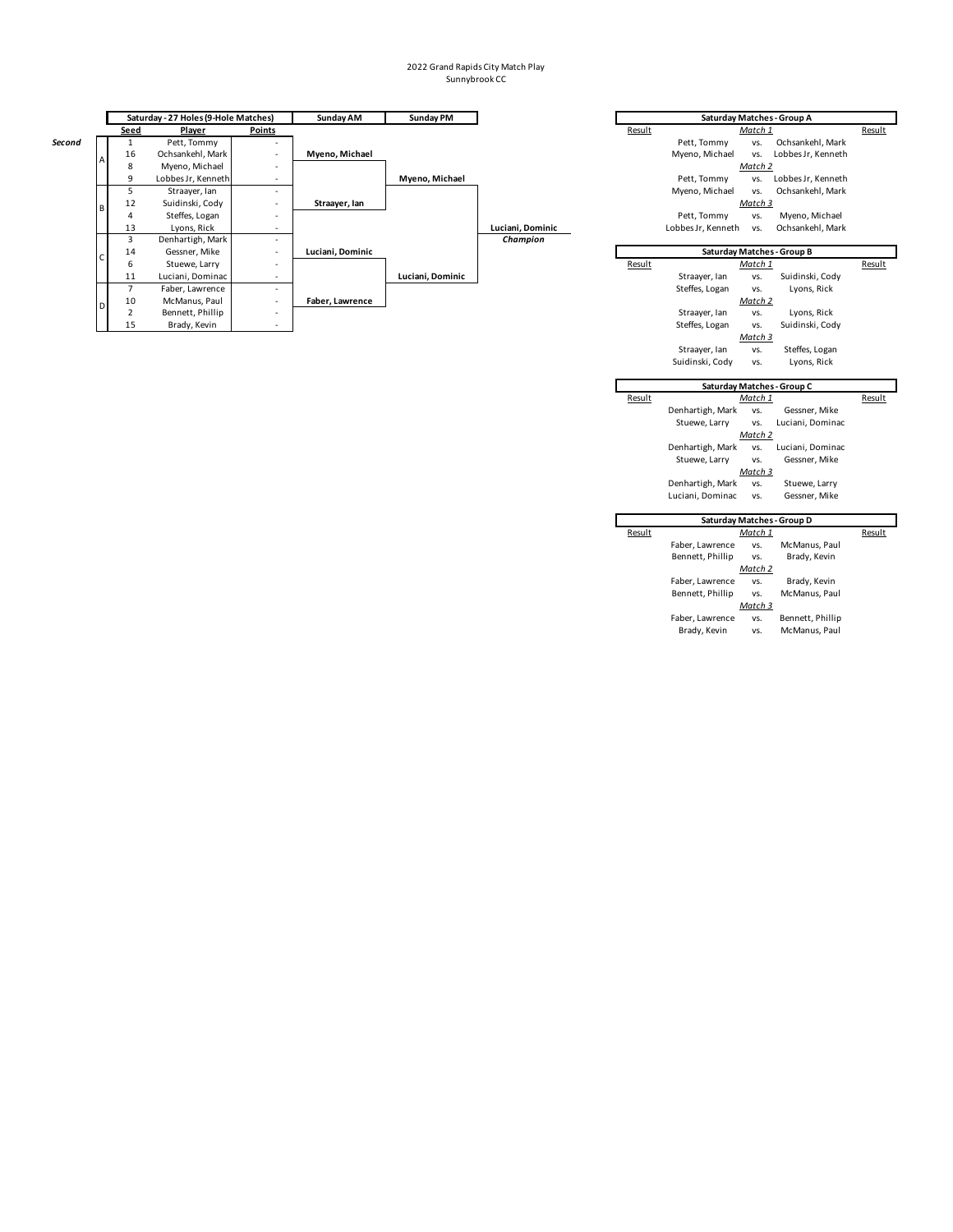|        |      | Saturday - 27 Holes (9-Hole Matches) |                          | Sunday AM        | Sunday PM        |                  |        | Saturday Matches - Group A |         |                            |        |
|--------|------|--------------------------------------|--------------------------|------------------|------------------|------------------|--------|----------------------------|---------|----------------------------|--------|
|        | Seed | Player                               | Points                   |                  |                  |                  | Result |                            | Match 1 |                            | Result |
| Second |      | Pett, Tommy                          |                          |                  |                  |                  |        | Pett, Tommy                | VS.     | Ochsankehl, Mark           |        |
|        | 16   | Ochsankehl, Mark                     |                          | Myeno, Michael   |                  |                  |        | Myeno, Michael             | VS.     | Lobbes Jr, Kenneth         |        |
|        | 8    | Myeno, Michael                       | $\overline{\phantom{a}}$ |                  |                  |                  |        | Match 2                    |         |                            |        |
|        | 9    | Lobbes Jr, Kenneth                   |                          |                  | Myeno, Michael   |                  |        | Pett, Tommy                | VS.     | Lobbes Jr, Kenneth         |        |
|        |      | Straayer, Ian                        |                          |                  |                  |                  |        | Myeno, Michael             | VS.     | Ochsankehl, Mark           |        |
|        | 12   | Suidinski, Cody                      | $\overline{\phantom{a}}$ | Straayer, Ian    |                  |                  |        |                            | Match 3 |                            |        |
|        | 4    | Steffes, Logan                       |                          |                  |                  |                  |        | Pett, Tommy                | VS.     | Myeno, Michael             |        |
|        | 13   | Lyons, Rick                          |                          |                  |                  | Luciani, Dominic |        | Lobbes Jr, Kenneth         | VS.     | Ochsankehl, Mark           |        |
|        | 3    | Denhartigh, Mark                     | $\sim$                   |                  |                  | Champion         |        |                            |         |                            |        |
|        | 14   | Gessner, Mike                        | $\overline{\phantom{a}}$ | Luciani, Dominic |                  |                  |        |                            |         | Saturday Matches - Group B |        |
|        | 6    | Stuewe, Larry                        |                          |                  |                  |                  | Result |                            | Match 1 |                            | Result |
|        | 11   | Luciani, Dominac                     |                          |                  | Luciani, Dominic |                  |        | Straayer, Ian              | VS.     | Suidinski, Cody            |        |
|        |      | Faber, Lawrence                      | $\sim$                   |                  |                  |                  |        | Steffes, Logan             | VS.     | Lyons, Rick                |        |
|        | 10   | McManus, Paul                        | $\overline{\phantom{a}}$ | Faber, Lawrence  |                  |                  |        |                            | Match 2 |                            |        |
|        |      | Bennett, Phillip                     | $\overline{\phantom{a}}$ |                  |                  |                  |        | Straayer, Ian              | VS.     | Lyons, Rick                |        |
|        | 15   | Brady, Kevin                         | $\overline{\phantom{a}}$ |                  |                  |                  |        | Steffes, Logan             | VS.     | Suidinski, Cody            |        |

|        |                    |                       | Saturday Matches - Group A        |        |
|--------|--------------------|-----------------------|-----------------------------------|--------|
| Result | Pett, Tommy        | Match 1<br>VS.        | Ochsankehl, Mark                  | Result |
|        | Myeno, Michael     | VS.                   | Lobbes Jr, Kenneth                |        |
|        |                    | Match 2               |                                   |        |
|        | Pett, Tommy        | VS.                   | Lobbes Jr, Kenneth                |        |
|        | Myeno, Michael     | VS.                   | Ochsankehl, Mark                  |        |
|        |                    | Match 3               |                                   |        |
|        | Pett, Tommy        | VS.                   | Myeno, Michael                    |        |
|        | Lobbes Jr, Kenneth | VS.                   | Ochsankehl, Mark                  |        |
|        |                    |                       |                                   |        |
|        |                    |                       | <b>Saturday Matches - Group B</b> |        |
| Result |                    | Match 1               |                                   | Result |
|        | Straayer, Ian      | VS.                   | Suidinski, Cody                   |        |
|        | Steffes, Logan     | VS.                   | Lyons, Rick                       |        |
|        |                    | Match 2               |                                   |        |
|        | Straayer, Ian      | VS.                   | Lyons, Rick                       |        |
|        | Steffes, Logan     | VS.                   | Suidinski, Cody                   |        |
|        |                    | Match 3               |                                   |        |
|        | Straayer, Ian      | VS.                   | Steffes, Logan                    |        |
|        | Suidinski, Cody    | VS.                   | Lyons, Rick                       |        |
|        |                    |                       |                                   |        |
|        |                    |                       | Saturday Matches - Group C        |        |
| Result |                    | Match 1               |                                   | Result |
|        | Denhartigh, Mark   | VS.                   | Gessner, Mike                     |        |
|        | Stuewe, Larry      | VS.                   | Luciani, Dominac                  |        |
|        |                    | Match 2               |                                   |        |
|        | Denhartigh, Mark   | VS.                   | Luciani, Dominac                  |        |
|        | Stuewe, Larry      | VS.                   | Gessner, Mike                     |        |
|        |                    | Match 3               |                                   |        |
|        | Denhartigh, Mark   | VS.                   | Stuewe, Larry                     |        |
|        | Luciani, Dominac   | VS.                   | Gessner, Mike                     |        |
|        |                    |                       |                                   |        |
|        |                    |                       | Saturday Matches - Group D        |        |
| Result | Faber, Lawrence    | <u>Match 1</u><br>VS. | McManus, Paul                     | Result |
|        | Bennett, Phillip   | VS.                   | Brady, Kevin                      |        |
|        |                    | Match 2               |                                   |        |
|        | Faber, Lawrence    | VS.                   | Brady, Kevin                      |        |
|        | Bennett, Phillip   | VS.                   | McManus, Paul                     |        |
|        |                    | Match 3               |                                   |        |
|        | Faber, Lawrence    | VS.                   | Bennett, Phillip                  |        |